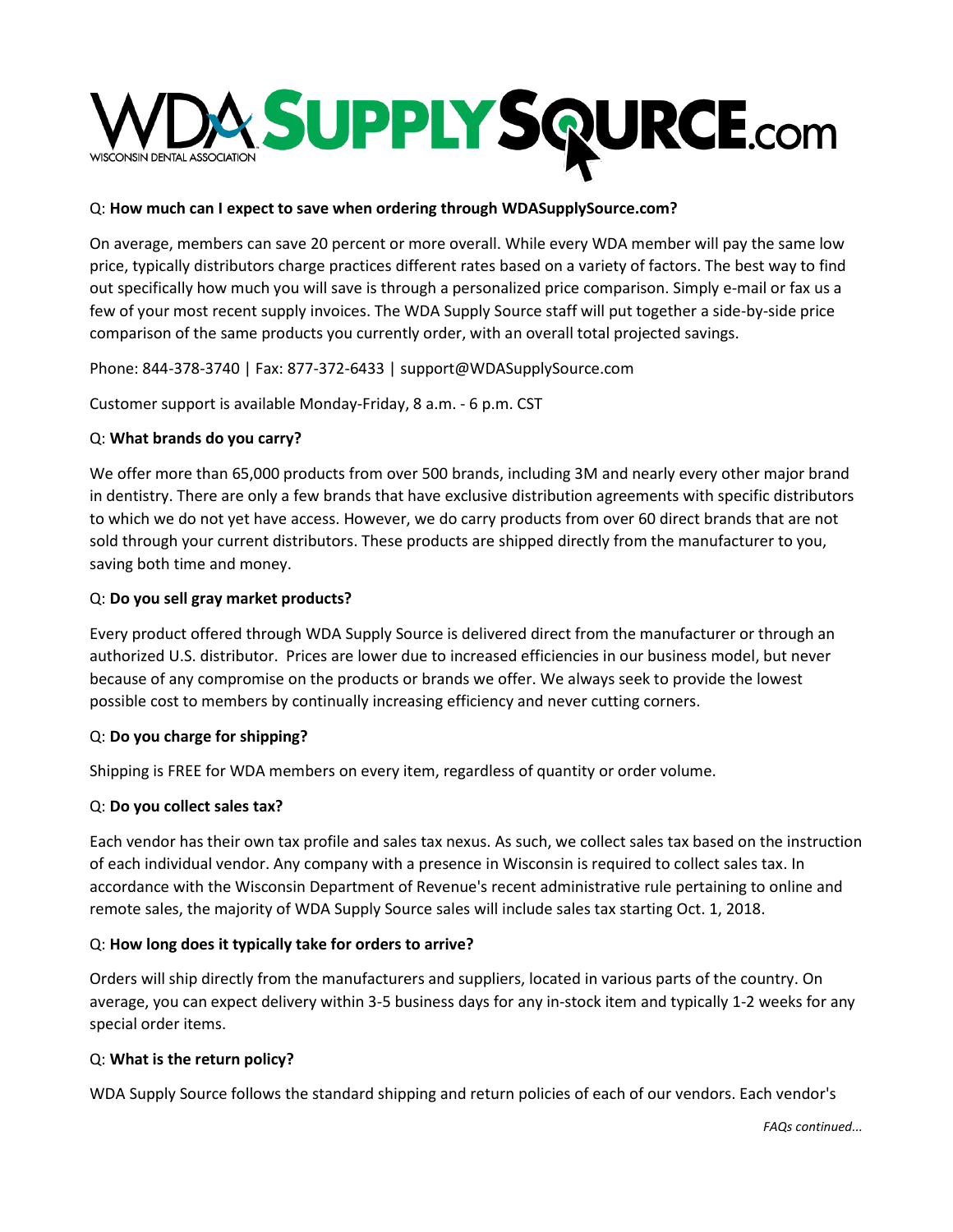

#### Q: **How much can I expect to save when ordering through WDASupplySource.com?**

On average, members can save 20 percent or more overall. While every WDA member will pay the same low price, typically distributors charge practices different rates based on a variety of factors. The best way to find out specifically how much you will save is through a personalized price comparison. Simply e-mail or fax us a few of your most recent supply invoices. The WDA Supply Source staff will put together a side-by-side price comparison of the same products you currently order, with an overall total projected savings.

Phone: 844-378-3740 | Fax: 877-372-6433 | support@WDASupplySource.com

Customer support is available Monday-Friday, 8 a.m. - 6 p.m. CST

### Q: **What brands do you carry?**

We offer more than 65,000 products from over 500 brands, including 3M and nearly every other major brand in dentistry. There are only a few brands that have exclusive distribution agreements with specific distributors to which we do not yet have access. However, we do carry products from over 60 direct brands that are not sold through your current distributors. These products are shipped directly from the manufacturer to you, saving both time and money.

### Q: **Do you sell gray market products?**

Every product offered through WDA Supply Source is delivered direct from the manufacturer or through an authorized U.S. distributor. Prices are lower due to increased efficiencies in our business model, but never because of any compromise on the products or brands we offer. We always seek to provide the lowest possible cost to members by continually increasing efficiency and never cutting corners.

#### Q: **Do you charge for shipping?**

Shipping is FREE for WDA members on every item, regardless of quantity or order volume.

#### Q: **Do you collect sales tax?**

Each vendor has their own tax profile and sales tax nexus. As such, we collect sales tax based on the instruction of each individual vendor. Any company with a presence in Wisconsin is required to collect sales tax. In accordance with the Wisconsin Department of Revenue's recent administrative rule pertaining to online and remote sales, the majority of WDA Supply Source sales will include sales tax starting Oct. 1, 2018.

#### Q: **How long does it typically take for orders to arrive?**

Orders will ship directly from the manufacturers and suppliers, located in various parts of the country. On average, you can expect delivery within 3-5 business days for any in-stock item and typically 1-2 weeks for any special order items.

#### Q: **What is the return policy?**

WDA Supply Source follows the standard shipping and return policies of each of our vendors. Each vendor's